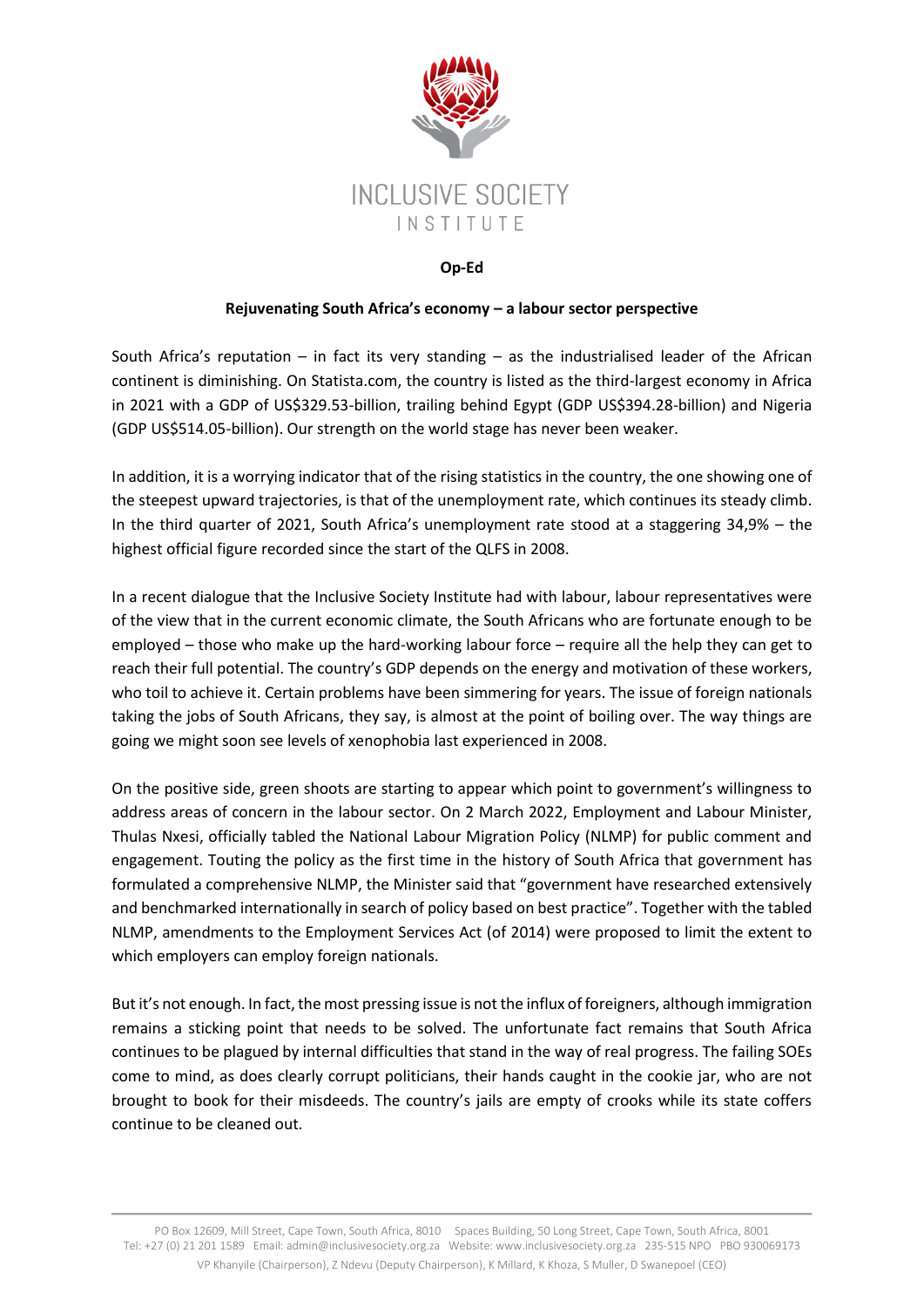

## **Op-Ed**

## **Rejuvenating South Africa's economy – a labour sector perspective**

South Africa's reputation – in fact its very standing – as the industrialised leader of the African continent is diminishing. On Statista.com, the country is listed as the third-largest economy in Africa in 2021 with a GDP of US\$329.53-billion, trailing behind Egypt (GDP US\$394.28-billion) and Nigeria (GDP US\$514.05-billion). Our strength on the world stage has never been weaker.

In addition, it is a worrying indicator that of the rising statistics in the country, the one showing one of the steepest upward trajectories, is that of the unemployment rate, which continues its steady climb. In the third quarter of 2021, South Africa's unemployment rate stood at a staggering 34,9% – the highest official figure recorded since the start of the QLFS in 2008.

In a recent dialogue that the Inclusive Society Institute had with labour, labour representatives were of the view that in the current economic climate, the South Africans who are fortunate enough to be employed – those who make up the hard-working labour force – require all the help they can get to reach their full potential. The country's GDP depends on the energy and motivation of these workers, who toil to achieve it. Certain problems have been simmering for years. The issue of foreign nationals taking the jobs of South Africans, they say, is almost at the point of boiling over. The way things are going we might soon see levels of xenophobia last experienced in 2008.

On the positive side, green shoots are starting to appear which point to government's willingness to address areas of concern in the labour sector. On 2 March 2022, Employment and Labour Minister, Thulas Nxesi, officially tabled the National Labour Migration Policy (NLMP) for public comment and engagement. Touting the policy as the first time in the history of South Africa that government has formulated a comprehensive NLMP, the Minister said that "government have researched extensively and benchmarked internationally in search of policy based on best practice". Together with the tabled NLMP, amendments to the Employment Services Act (of 2014) were proposed to limit the extent to which employers can employ foreign nationals.

But it's not enough. In fact, the most pressing issue is not the influx of foreigners, although immigration remains a sticking point that needs to be solved. The unfortunate fact remains that South Africa continues to be plagued by internal difficulties that stand in the way of real progress. The failing SOEs come to mind, as does clearly corrupt politicians, their hands caught in the cookie jar, who are not brought to book for their misdeeds. The country's jails are empty of crooks while its state coffers continue to be cleaned out.

PO Box 12609, Mill Street, Cape Town, South Africa, 8010 Spaces Building, 50 Long Street, Cape Town, South Africa, 8001 Tel: +27 (0) 21 201 1589 Email: admi[n@inclusivesociety.org.za](mailto:info@inclusivesociety.org.za) Website: www.inclusivesociety.org.za 235-515 NPO PBO 930069173 VP Khanyile (Chairperson), Z Ndevu (Deputy Chairperson), K Millard, K Khoza, S Muller, D Swanepoel (CEO)